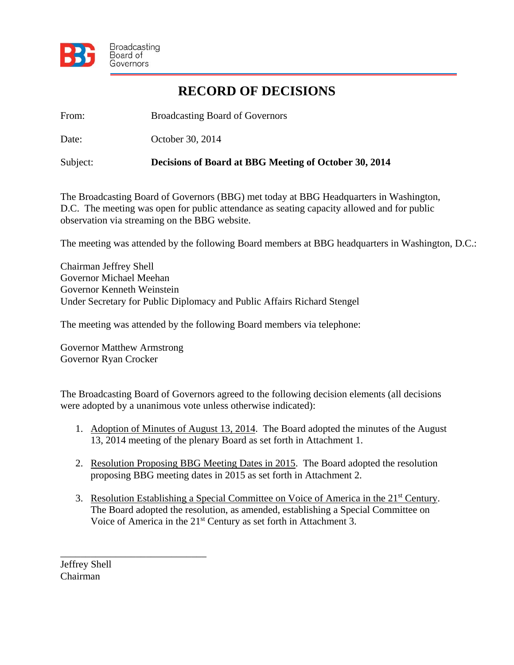

## **RECORD OF DECISIONS**

From: Broadcasting Board of Governors

Date: October 30, 2014

Subject: **Decisions of Board at BBG Meeting of October 30, 2014** 

The Broadcasting Board of Governors (BBG) met today at BBG Headquarters in Washington, D.C. The meeting was open for public attendance as seating capacity allowed and for public observation via streaming on the BBG website.

The meeting was attended by the following Board members at BBG headquarters in Washington, D.C.:

Chairman Jeffrey Shell Governor Michael Meehan Governor Kenneth Weinstein Under Secretary for Public Diplomacy and Public Affairs Richard Stengel

The meeting was attended by the following Board members via telephone:

Governor Matthew Armstrong Governor Ryan Crocker

\_\_\_\_\_\_\_\_\_\_\_\_\_\_\_\_\_\_\_\_\_\_\_\_\_\_\_\_\_

The Broadcasting Board of Governors agreed to the following decision elements (all decisions were adopted by a unanimous vote unless otherwise indicated):

- 1. Adoption of Minutes of August 13, 2014. The Board adopted the minutes of the August 13, 2014 meeting of the plenary Board as set forth in Attachment 1.
- 2. Resolution Proposing BBG Meeting Dates in 2015. The Board adopted the resolution proposing BBG meeting dates in 2015 as set forth in Attachment 2.
- 3. Resolution Establishing a Special Committee on Voice of America in the 21<sup>st</sup> Century. The Board adopted the resolution, as amended, establishing a Special Committee on Voice of America in the 21<sup>st</sup> Century as set forth in Attachment 3.

Jeffrey Shell Chairman